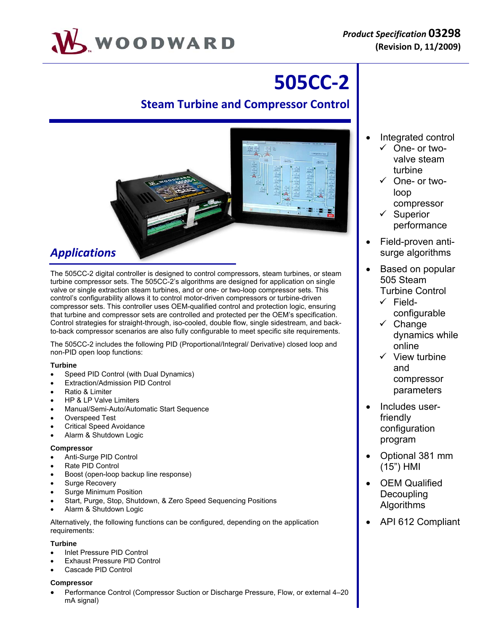

# **505CC‐2**

## **Steam Turbine and Compressor Control**



# *Applications*

The 505CC-2 digital controller is designed to control compressors, steam turbines, or steam turbine compressor sets. The 505CC-2's algorithms are designed for application on single valve or single extraction steam turbines, and or one- or two-loop compressor sets. This control's configurability allows it to control motor-driven compressors or turbine-driven compressor sets. This controller uses OEM-qualified control and protection logic, ensuring that turbine and compressor sets are controlled and protected per the OEM's specification. Control strategies for straight-through, iso-cooled, double flow, single sidestream, and backto-back compressor scenarios are also fully configurable to meet specific site requirements.

The 505CC-2 includes the following PID (Proportional/Integral/ Derivative) closed loop and non-PID open loop functions:

### **Turbine**

- Speed PID Control (with Dual Dynamics)
- Extraction/Admission PID Control
- Ratio & Limiter
- HP & LP Valve Limiters
- Manual/Semi-Auto/Automatic Start Sequence
- Overspeed Test
- Critical Speed Avoidance
- Alarm & Shutdown Logic

### **Compressor**

- Anti-Surge PID Control
- Rate PID Control
- Boost (open-loop backup line response)
- Surge Recovery
- Surge Minimum Position
- Start, Purge, Stop, Shutdown, & Zero Speed Sequencing Positions
- Alarm & Shutdown Logic

Alternatively, the following functions can be configured, depending on the application requirements:

### **Turbine**

- Inlet Pressure PID Control
- Exhaust Pressure PID Control
- Cascade PID Control

### **Compressor**

 Performance Control (Compressor Suction or Discharge Pressure, Flow, or external 4–20 mA signal)

- Integrated control
	- $\checkmark$  One- or twovalve steam turbine
	- $\checkmark$  One- or twoloop compressor
	- $\checkmark$  Superior performance
- Field-proven antisurge algorithms
- Based on popular 505 Steam Turbine Control
	- $\checkmark$  Fieldconfigurable
	- $\checkmark$  Change dynamics while online
	- $\checkmark$  View turbine and compressor parameters
- Includes userfriendly configuration program
- Optional 381 mm (15") HMI
- OEM Qualified Decoupling Algorithms
- API 612 Compliant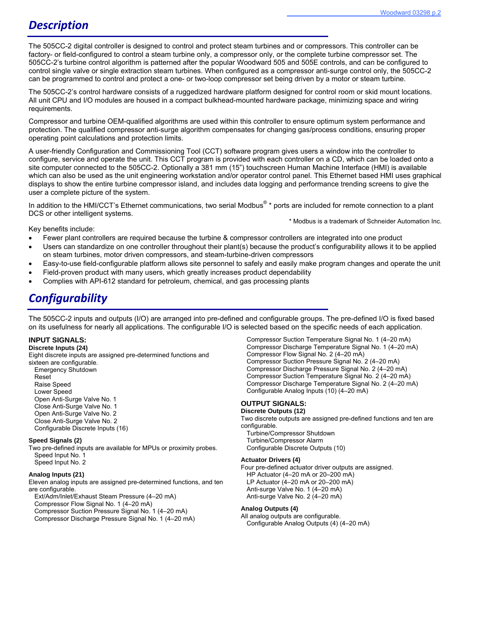### *Description*

The 505CC-2 digital controller is designed to control and protect steam turbines and or compressors. This controller can be factory- or field-configured to control a steam turbine only, a compressor only, or the complete turbine compressor set. The 505CC-2's turbine control algorithm is patterned after the popular Woodward 505 and 505E controls, and can be configured to control single valve or single extraction steam turbines. When configured as a compressor anti-surge control only, the 505CC-2 can be programmed to control and protect a one- or two-loop compressor set being driven by a motor or steam turbine.

The 505CC-2's control hardware consists of a ruggedized hardware platform designed for control room or skid mount locations. All unit CPU and I/O modules are housed in a compact bulkhead-mounted hardware package, minimizing space and wiring requirements.

Compressor and turbine OEM-qualified algorithms are used within this controller to ensure optimum system performance and protection. The qualified compressor anti-surge algorithm compensates for changing gas/process conditions, ensuring proper operating point calculations and protection limits.

A user-friendly Configuration and Commissioning Tool (CCT) software program gives users a window into the controller to configure, service and operate the unit. This CCT program is provided with each controller on a CD, which can be loaded onto a site computer connected to the 505CC-2. Optionally a 381 mm (15") touchscreen Human Machine Interface (HMI) is available which can also be used as the unit engineering workstation and/or operator control panel. This Ethernet based HMI uses graphical displays to show the entire turbine compressor island, and includes data logging and performance trending screens to give the user a complete picture of the system.

In addition to the HMI/CCT's Ethernet communications, two serial Modbus<sup>®</sup> \* ports are included for remote connection to a plant DCS or other intelligent systems. \* Modbus is a trademark of Schneider Automation Inc.

Key benefits include:

- Fewer plant controllers are required because the turbine & compressor controllers are integrated into one product
- Users can standardize on one controller throughout their plant(s) because the product's configurability allows it to be applied on steam turbines, motor driven compressors, and steam-turbine-driven compressors
- Easy-to-use field-configurable platform allows site personnel to safely and easily make program changes and operate the unit
- Field-proven product with many users, which greatly increases product dependability
- Complies with API-612 standard for petroleum, chemical, and gas processing plants

# *Configurability*

The 505CC-2 inputs and outputs (I/O) are arranged into pre-defined and configurable groups. The pre-defined I/O is fixed based on its usefulness for nearly all applications. The configurable I/O is selected based on the specific needs of each application.

#### **INPUT SIGNALS:**

#### **Discrete Inputs (24)**

Eight discrete inputs are assigned pre-determined functions and sixteen are configurable. Emergency Shutdown Reset Raise Speed Lower Speed Open Anti-Surge Valve No. 1 Close Anti-Surge Valve No. 1 Open Anti-Surge Valve No. 2 Close Anti-Surge Valve No. 2 Configurable Discrete Inputs (16)

#### **Speed Signals (2)**

Two pre-defined inputs are available for MPUs or proximity probes. Speed Input No. 1 Speed Input No. 2

#### **Analog Inputs (21)**

Eleven analog inputs are assigned pre-determined functions, and ten are configurable.

Ext/Adm/Inlet/Exhaust Steam Pressure (4–20 mA)

Compressor Flow Signal No. 1 (4–20 mA)

Compressor Suction Pressure Signal No. 1 (4–20 mA)

Compressor Discharge Pressure Signal No. 1 (4–20 mA)

Compressor Suction Temperature Signal No. 1 (4–20 mA) Compressor Discharge Temperature Signal No. 1 (4–20 mA) Compressor Flow Signal No. 2 (4–20 mA) Compressor Suction Pressure Signal No. 2 (4–20 mA) Compressor Discharge Pressure Signal No. 2 (4–20 mA) Compressor Suction Temperature Signal No. 2 (4–20 mA) Compressor Discharge Temperature Signal No. 2 (4–20 mA) Configurable Analog Inputs (10) (4–20 mA)

#### **OUTPUT SIGNALS:**

#### **Discrete Outputs (12)**

Two discrete outputs are assigned pre-defined functions and ten are configurable. Turbine/Compressor Shutdown

Turbine/Compressor Alarm Configurable Discrete Outputs (10)

#### **Actuator Drivers (4)**

Four pre-defined actuator driver outputs are assigned. HP Actuator (4–20 mA or 20–200 mA) LP Actuator (4–20 mA or 20–200 mA) Anti-surge Valve No. 1 (4–20 mA) Anti-surge Valve No. 2 (4–20 mA)

#### **Analog Outputs (4)**

All analog outputs are configurable. Configurable Analog Outputs (4) (4–20 mA)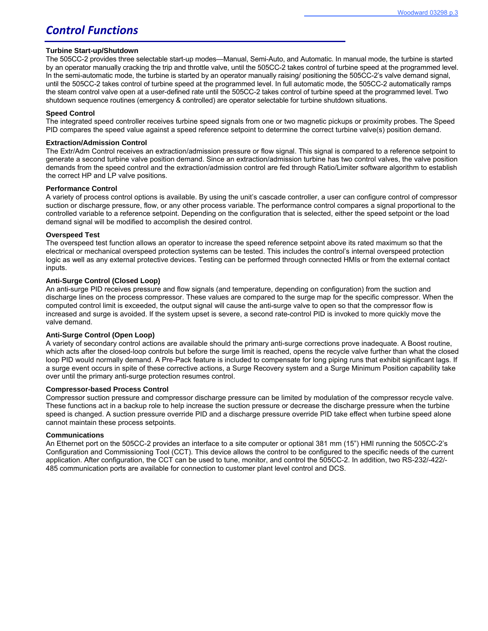# *Control Functions*

#### **Turbine Start-up/Shutdown**

The 505CC-2 provides three selectable start-up modes—Manual, Semi-Auto, and Automatic. In manual mode, the turbine is started by an operator manually cracking the trip and throttle valve, until the 505CC-2 takes control of turbine speed at the programmed level. In the semi-automatic mode, the turbine is started by an operator manually raising/ positioning the 505CC-2's valve demand signal, until the 505CC-2 takes control of turbine speed at the programmed level. In full automatic mode, the 505CC-2 automatically ramps the steam control valve open at a user-defined rate until the 505CC-2 takes control of turbine speed at the programmed level. Two shutdown sequence routines (emergency & controlled) are operator selectable for turbine shutdown situations.

#### **Speed Control**

The integrated speed controller receives turbine speed signals from one or two magnetic pickups or proximity probes. The Speed PID compares the speed value against a speed reference setpoint to determine the correct turbine valve(s) position demand.

#### **Extraction/Admission Control**

The Extr/Adm Control receives an extraction/admission pressure or flow signal. This signal is compared to a reference setpoint to generate a second turbine valve position demand. Since an extraction/admission turbine has two control valves, the valve position demands from the speed control and the extraction/admission control are fed through Ratio/Limiter software algorithm to establish the correct HP and LP valve positions.

#### **Performance Control**

A variety of process control options is available. By using the unit's cascade controller, a user can configure control of compressor suction or discharge pressure, flow, or any other process variable. The performance control compares a signal proportional to the controlled variable to a reference setpoint. Depending on the configuration that is selected, either the speed setpoint or the load demand signal will be modified to accomplish the desired control.

#### **Overspeed Test**

The overspeed test function allows an operator to increase the speed reference setpoint above its rated maximum so that the electrical or mechanical overspeed protection systems can be tested. This includes the control's internal overspeed protection logic as well as any external protective devices. Testing can be performed through connected HMIs or from the external contact inputs.

#### **Anti-Surge Control (Closed Loop)**

An anti-surge PID receives pressure and flow signals (and temperature, depending on configuration) from the suction and discharge lines on the process compressor. These values are compared to the surge map for the specific compressor. When the computed control limit is exceeded, the output signal will cause the anti-surge valve to open so that the compressor flow is increased and surge is avoided. If the system upset is severe, a second rate-control PID is invoked to more quickly move the valve demand.

#### **Anti-Surge Control (Open Loop)**

A variety of secondary control actions are available should the primary anti-surge corrections prove inadequate. A Boost routine, which acts after the closed-loop controls but before the surge limit is reached, opens the recycle valve further than what the closed loop PID would normally demand. A Pre-Pack feature is included to compensate for long piping runs that exhibit significant lags. If a surge event occurs in spite of these corrective actions, a Surge Recovery system and a Surge Minimum Position capability take over until the primary anti-surge protection resumes control.

#### **Compressor-based Process Control**

Compressor suction pressure and compressor discharge pressure can be limited by modulation of the compressor recycle valve. These functions act in a backup role to help increase the suction pressure or decrease the discharge pressure when the turbine speed is changed. A suction pressure override PID and a discharge pressure override PID take effect when turbine speed alone cannot maintain these process setpoints.

#### **Communications**

An Ethernet port on the 505CC-2 provides an interface to a site computer or optional 381 mm (15") HMI running the 505CC-2's Configuration and Commissioning Tool (CCT). This device allows the control to be configured to the specific needs of the current application. After configuration, the CCT can be used to tune, monitor, and control the 505CC-2. In addition, two RS-232/-422/- 485 communication ports are available for connection to customer plant level control and DCS.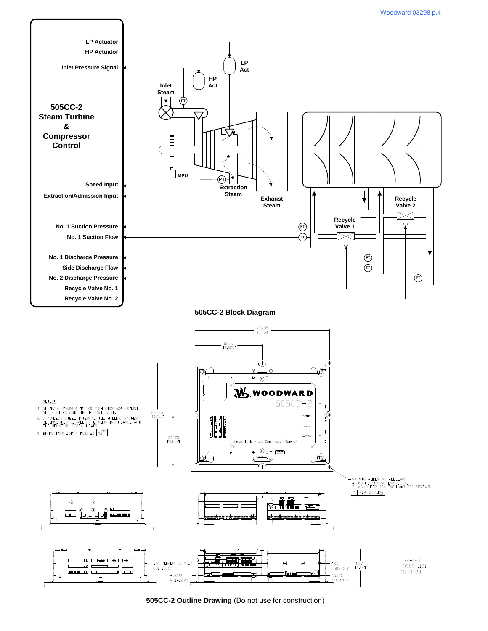

**505CC-2 Outline Drawing** (Do not use for construction)

 $-601 - 1234$ 

601-1234